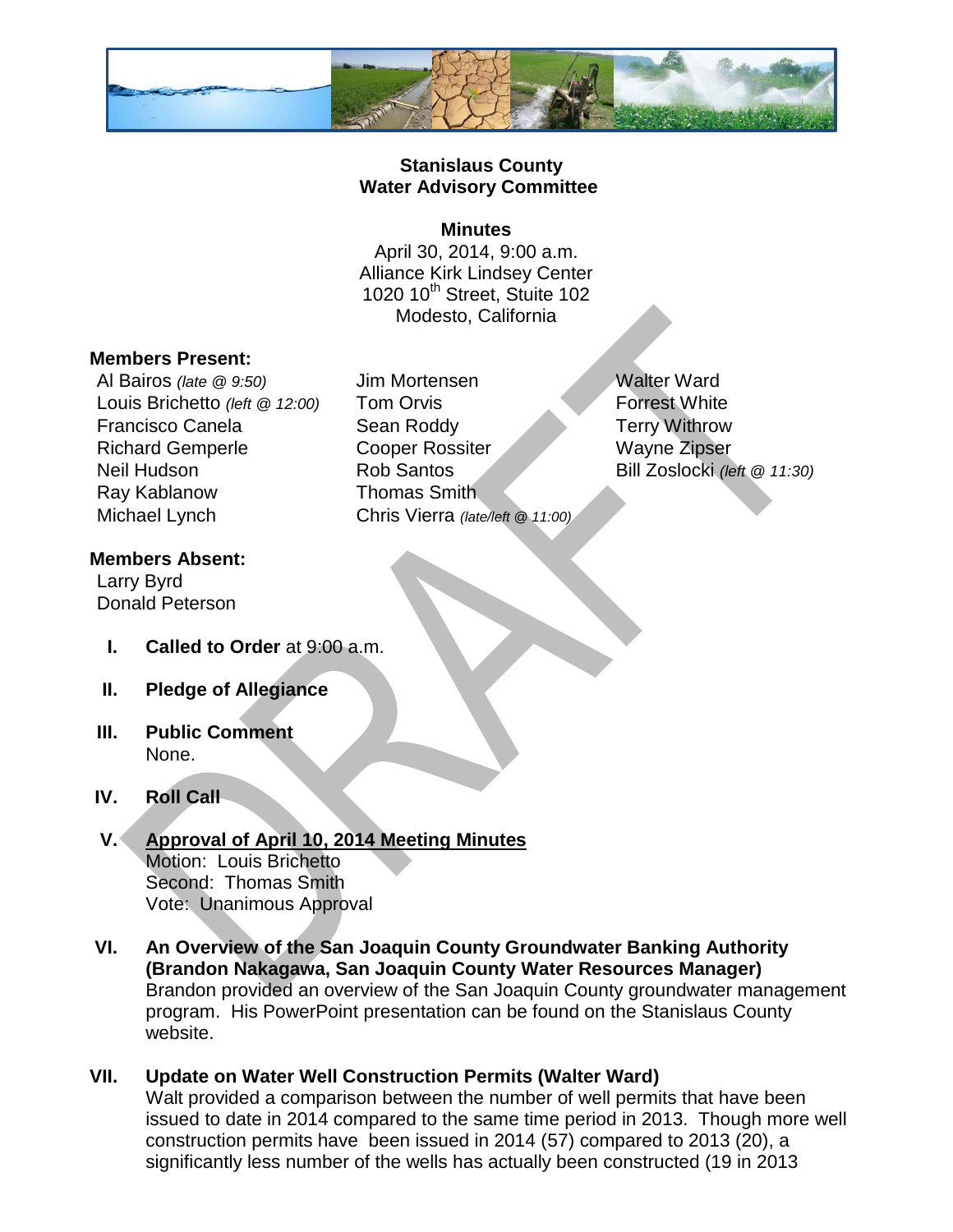

### **Stanislaus County Water Advisory Committee**

#### **Minutes**

April 30, 2014, 9:00 a.m. Alliance Kirk Lindsey Center 1020 10 $th$  Street, Stuite 102 Modesto, California

#### **Members Present:**

Louis Brichetto *(left @ 12:00)* Tom Orvis **Forrest White** Francisco Canela **Sean Roddy Terry Withrow** Neil Hudson Rob Santos Bill Zoslocki *(left @ 11:30)* Ray Kablanow Thomas Smith Michael Lynch Chris Vierra *(late/left @ 11:00)*

# Al Bairos *(late @ 9:50)* Jim Mortensen Walter Ward Richard Gemperle Cooper Rossiter Wayne Zipser

# **Members Absent:**

Larry Byrd Donald Peterson

- **I. Called to Order** at 9:00 a.m.
- **II. Pledge of Allegiance**
- **III. Public Comment** None.

# **IV. Roll Call**

#### **V. Approval of April 10, 2014 Meeting Minutes** Motion: Louis Brichetto Second: Thomas Smith Vote: Unanimous Approval

- **VI. An Overview of the San Joaquin County Groundwater Banking Authority (Brandon Nakagawa, San Joaquin County Water Resources Manager)**  Brandon provided an overview of the San Joaquin County groundwater management program. His PowerPoint presentation can be found on the Stanislaus County website.
- **VII. Update on Water Well Construction Permits (Walter Ward)**  Walt provided a comparison between the number of well permits that have been issued to date in 2014 compared to the same time period in 2013. Though more well construction permits have been issued in 2014 (57) compared to 2013 (20), a significantly less number of the wells has actually been constructed (19 in 2013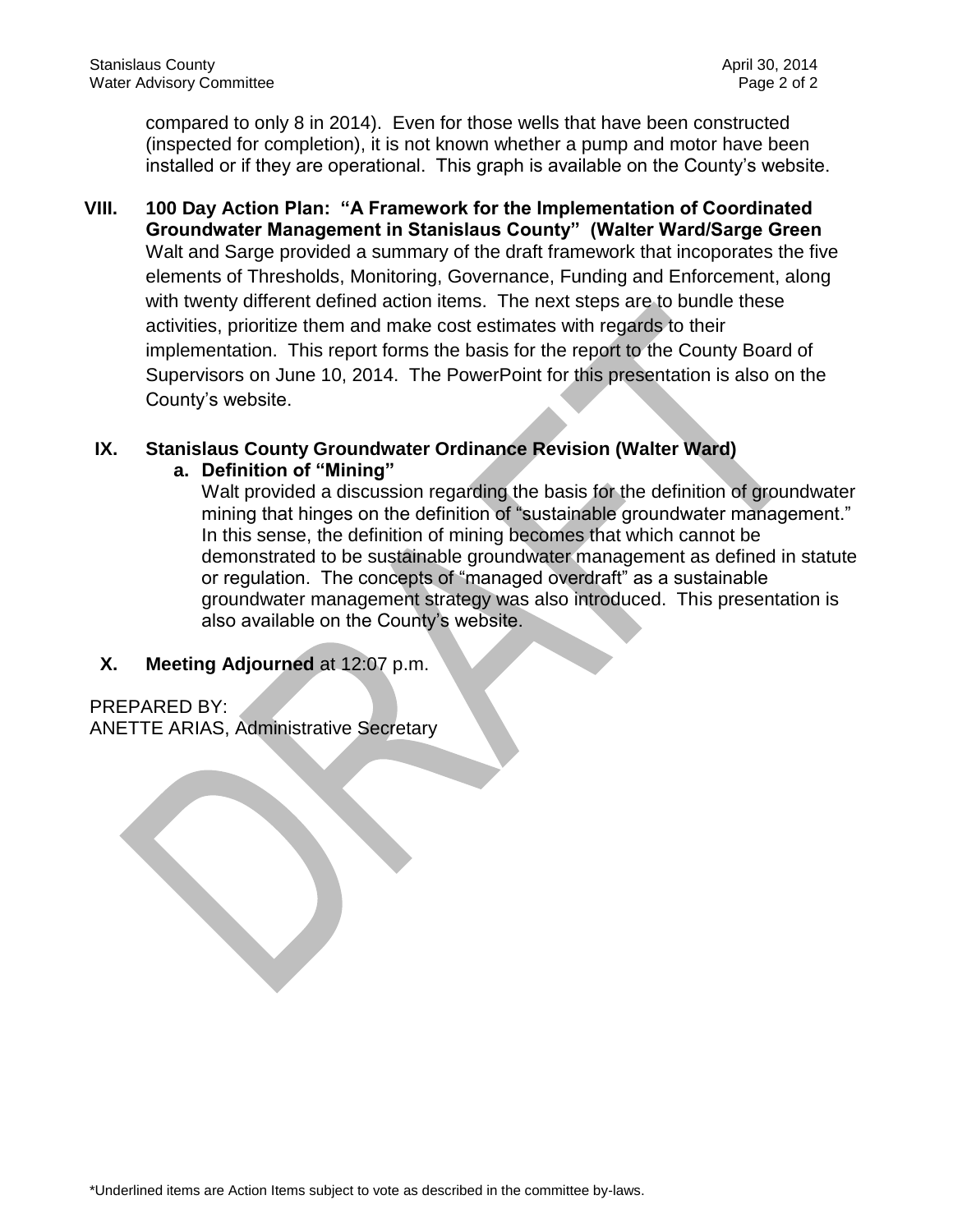compared to only 8 in 2014). Even for those wells that have been constructed (inspected for completion), it is not known whether a pump and motor have been installed or if they are operational. This graph is available on the County's website.

**VIII. 100 Day Action Plan: "A Framework for the Implementation of Coordinated Groundwater Management in Stanislaus County" (Walter Ward/Sarge Green** Walt and Sarge provided a summary of the draft framework that incoporates the five elements of Thresholds, Monitoring, Governance, Funding and Enforcement, along with twenty different defined action items. The next steps are to bundle these activities, prioritize them and make cost estimates with regards to their implementation. This report forms the basis for the report to the County Board of Supervisors on June 10, 2014. The PowerPoint for this presentation is also on the County's website.

# **IX. Stanislaus County Groundwater Ordinance Revision (Walter Ward)**

#### **a. Definition of "Mining"**

Walt provided a discussion regarding the basis for the definition of groundwater mining that hinges on the definition of "sustainable groundwater management." In this sense, the definition of mining becomes that which cannot be demonstrated to be sustainable groundwater management as defined in statute or regulation. The concepts of "managed overdraft" as a sustainable groundwater management strategy was also introduced. This presentation is also available on the County's website.

# **X. Meeting Adjourned** at 12:07 p.m.

PREPARED BY: ANETTE ARIAS, Administrative Secretary